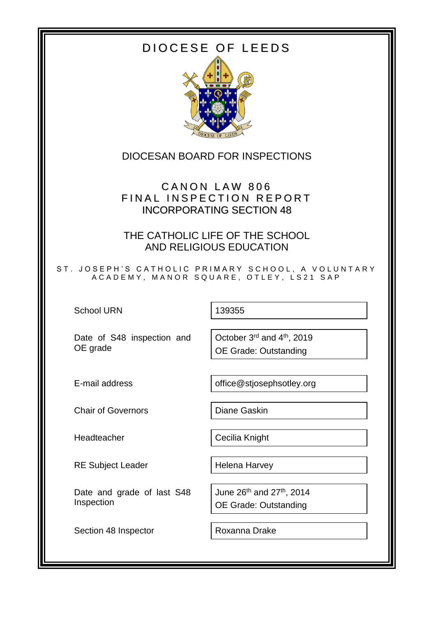# DIOCESE OF LEEDS



# DIOCESAN BOARD FOR INSPECTIONS

# CANON LAW 806 FINAL INSPECTION REPORT INCORPORATING SECTION 48

THE CATHOLIC LIFE OF THE SCHOOL AND RELIGIOUS EDUCATION

ST. JOSEPH'S CATHOLIC PRIMARY SCHOOL, A VOLUNTARY A C A D E M Y , M A N O R S Q U A R E , O T L E Y , L S 2 1 S A P

School URN 139355

Date of S48 inspection and OE grade

October 3rd and 4th, 2019 OE Grade: Outstanding

E-mail address **being contained** office@stjosephsotley.org

Chair of Governors **Diane Gaskin** 

Headteacher **Cecilia Knight** 

RE Subject Leader | Helena Harvey

Date and grade of last S48 Inspection

Section 48 Inspector Roxanna Drake

June 26<sup>th</sup> and 27<sup>th</sup>, 2014 OE Grade: Outstanding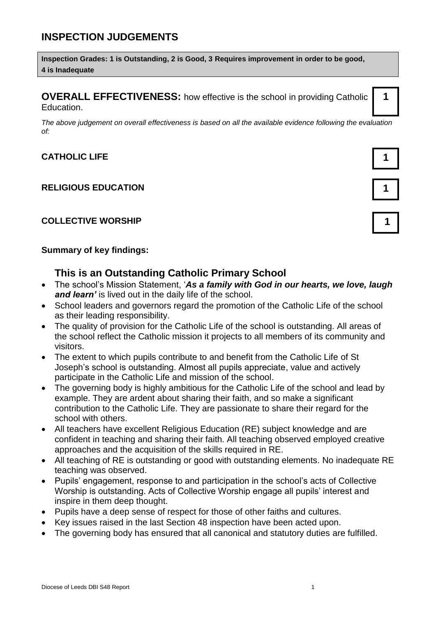# **INSPECTION JUDGEMENTS**

**Inspection Grades: 1 is Outstanding, 2 is Good, 3 Requires improvement in order to be good, 4 is Inadequate**

**OVERALL EFFECTIVENESS:** how effective is the school in providing Catholic Education.

*The above judgement on overall effectiveness is based on all the available evidence following the evaluation of:*

#### **CATHOLIC LIFE 1**

#### **RELIGIOUS EDUCATION 1**

#### **COLLECTIVE WORSHIP 1**

#### **Summary of key findings:**

#### **This is an Outstanding Catholic Primary School**

- The school's Mission Statement, '*As a family with God in our hearts, we love, laugh and learn'* is lived out in the daily life of the school.
- School leaders and governors regard the promotion of the Catholic Life of the school as their leading responsibility.
- The quality of provision for the Catholic Life of the school is outstanding. All areas of the school reflect the Catholic mission it projects to all members of its community and visitors.
- The extent to which pupils contribute to and benefit from the Catholic Life of St Joseph's school is outstanding. Almost all pupils appreciate, value and actively participate in the Catholic Life and mission of the school.
- The governing body is highly ambitious for the Catholic Life of the school and lead by example. They are ardent about sharing their faith, and so make a significant contribution to the Catholic Life. They are passionate to share their regard for the school with others.
- All teachers have excellent Religious Education (RE) subject knowledge and are confident in teaching and sharing their faith. All teaching observed employed creative approaches and the acquisition of the skills required in RE.
- All teaching of RE is outstanding or good with outstanding elements. No inadequate RE teaching was observed.
- Pupils' engagement, response to and participation in the school's acts of Collective Worship is outstanding. Acts of Collective Worship engage all pupils' interest and inspire in them deep thought.
- Pupils have a deep sense of respect for those of other faiths and cultures.
- Key issues raised in the last Section 48 inspection have been acted upon.
- The governing body has ensured that all canonical and statutory duties are fulfilled.

**1**

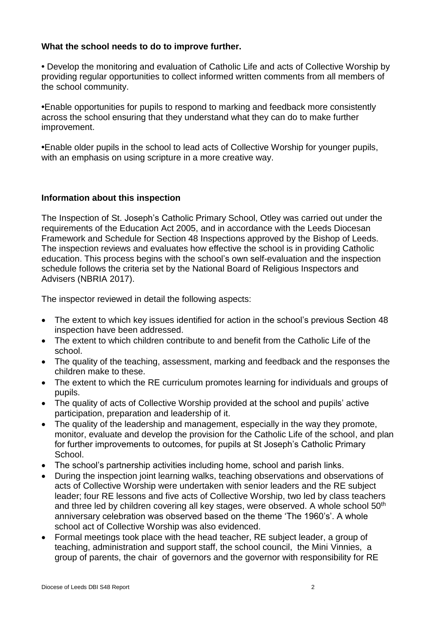#### **What the school needs to do to improve further.**

**•** Develop the monitoring and evaluation of Catholic Life and acts of Collective Worship by providing regular opportunities to collect informed written comments from all members of the school community.

**•**Enable opportunities for pupils to respond to marking and feedback more consistently across the school ensuring that they understand what they can do to make further improvement.

**•**Enable older pupils in the school to lead acts of Collective Worship for younger pupils, with an emphasis on using scripture in a more creative way.

#### **Information about this inspection**

The Inspection of St. Joseph's Catholic Primary School, Otley was carried out under the requirements of the Education Act 2005, and in accordance with the Leeds Diocesan Framework and Schedule for Section 48 Inspections approved by the Bishop of Leeds. The inspection reviews and evaluates how effective the school is in providing Catholic education. This process begins with the school's own self-evaluation and the inspection schedule follows the criteria set by the National Board of Religious Inspectors and Advisers (NBRIA 2017).

The inspector reviewed in detail the following aspects:

- The extent to which key issues identified for action in the school's previous Section 48 inspection have been addressed.
- The extent to which children contribute to and benefit from the Catholic Life of the school.
- The quality of the teaching, assessment, marking and feedback and the responses the children make to these.
- The extent to which the RE curriculum promotes learning for individuals and groups of pupils.
- The quality of acts of Collective Worship provided at the school and pupils' active participation, preparation and leadership of it.
- The quality of the leadership and management, especially in the way they promote, monitor, evaluate and develop the provision for the Catholic Life of the school, and plan for further improvements to outcomes, for pupils at St Joseph's Catholic Primary School.
- The school's partnership activities including home, school and parish links.
- During the inspection joint learning walks, teaching observations and observations of acts of Collective Worship were undertaken with senior leaders and the RE subject leader; four RE lessons and five acts of Collective Worship, two led by class teachers and three led by children covering all key stages, were observed. A whole school 50<sup>th</sup> anniversary celebration was observed based on the theme 'The 1960's'. A whole school act of Collective Worship was also evidenced.
- Formal meetings took place with the head teacher, RE subject leader, a group of teaching, administration and support staff, the school council, the Mini Vinnies, a group of parents, the chair of governors and the governor with responsibility for RE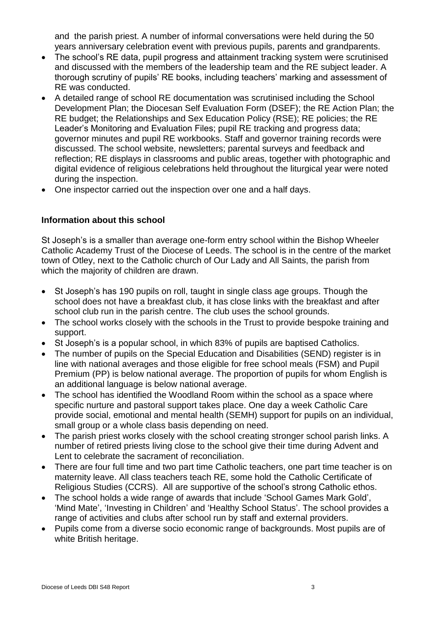and the parish priest. A number of informal conversations were held during the 50 years anniversary celebration event with previous pupils, parents and grandparents.

- The school's RE data, pupil progress and attainment tracking system were scrutinised and discussed with the members of the leadership team and the RE subject leader. A thorough scrutiny of pupils' RE books, including teachers' marking and assessment of RE was conducted.
- A detailed range of school RE documentation was scrutinised including the School Development Plan; the Diocesan Self Evaluation Form (DSEF); the RE Action Plan; the RE budget; the Relationships and Sex Education Policy (RSE); RE policies; the RE Leader's Monitoring and Evaluation Files; pupil RE tracking and progress data; governor minutes and pupil RE workbooks. Staff and governor training records were discussed. The school website, newsletters; parental surveys and feedback and reflection; RE displays in classrooms and public areas, together with photographic and digital evidence of religious celebrations held throughout the liturgical year were noted during the inspection.
- One inspector carried out the inspection over one and a half days.

## **Information about this school**

St Joseph's is a smaller than average one-form entry school within the Bishop Wheeler Catholic Academy Trust of the Diocese of Leeds. The school is in the centre of the market town of Otley, next to the Catholic church of Our Lady and All Saints, the parish from which the majority of children are drawn.

- St Joseph's has 190 pupils on roll, taught in single class age groups. Though the school does not have a breakfast club, it has close links with the breakfast and after school club run in the parish centre. The club uses the school grounds.
- The school works closely with the schools in the Trust to provide bespoke training and support.
- St Joseph's is a popular school, in which 83% of pupils are baptised Catholics.
- The number of pupils on the Special Education and Disabilities (SEND) register is in line with national averages and those eligible for free school meals (FSM) and Pupil Premium (PP) is below national average. The proportion of pupils for whom English is an additional language is below national average.
- The school has identified the Woodland Room within the school as a space where specific nurture and pastoral support takes place. One day a week Catholic Care provide social, emotional and mental health (SEMH) support for pupils on an individual, small group or a whole class basis depending on need.
- The parish priest works closely with the school creating stronger school parish links. A number of retired priests living close to the school give their time during Advent and Lent to celebrate the sacrament of reconciliation.
- There are four full time and two part time Catholic teachers, one part time teacher is on maternity leave. All class teachers teach RE, some hold the Catholic Certificate of Religious Studies (CCRS). All are supportive of the school's strong Catholic ethos.
- The school holds a wide range of awards that include 'School Games Mark Gold', 'Mind Mate', 'Investing in Children' and 'Healthy School Status'. The school provides a range of activities and clubs after school run by staff and external providers.
- Pupils come from a diverse socio economic range of backgrounds. Most pupils are of white British heritage.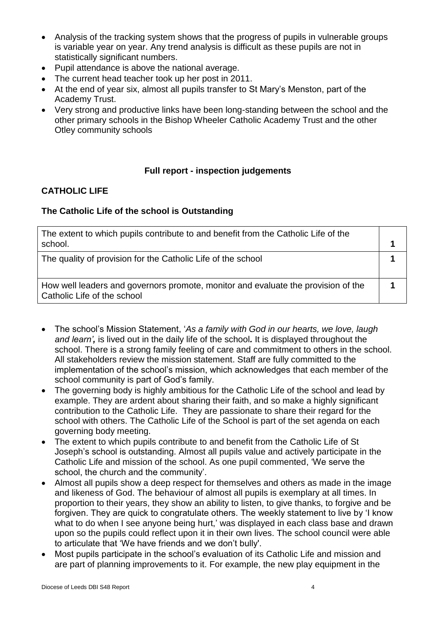- Analysis of the tracking system shows that the progress of pupils in vulnerable groups is variable year on year. Any trend analysis is difficult as these pupils are not in statistically significant numbers.
- Pupil attendance is above the national average.
- The current head teacher took up her post in 2011.
- At the end of year six, almost all pupils transfer to St Mary's Menston, part of the Academy Trust.
- Very strong and productive links have been long-standing between the school and the other primary schools in the Bishop Wheeler Catholic Academy Trust and the other Otley community schools

#### **Full report - inspection judgements**

## **CATHOLIC LIFE**

#### **The Catholic Life of the school is Outstanding**

| The extent to which pupils contribute to and benefit from the Catholic Life of the<br>school.                    |  |
|------------------------------------------------------------------------------------------------------------------|--|
| The quality of provision for the Catholic Life of the school                                                     |  |
| How well leaders and governors promote, monitor and evaluate the provision of the<br>Catholic Life of the school |  |

- The school's Mission Statement, '*As a family with God in our hearts, we love, laugh and learn',* is lived out in the daily life of the school*.* It is displayed throughout the school. There is a strong family feeling of care and commitment to others in the school. All stakeholders review the mission statement. Staff are fully committed to the implementation of the school's mission, which acknowledges that each member of the school community is part of God's family.
- The governing body is highly ambitious for the Catholic Life of the school and lead by example. They are ardent about sharing their faith, and so make a highly significant contribution to the Catholic Life. They are passionate to share their regard for the school with others. The Catholic Life of the School is part of the set agenda on each governing body meeting.
- The extent to which pupils contribute to and benefit from the Catholic Life of St Joseph's school is outstanding. Almost all pupils value and actively participate in the Catholic Life and mission of the school. As one pupil commented, 'We serve the school, the church and the community'.
- Almost all pupils show a deep respect for themselves and others as made in the image and likeness of God. The behaviour of almost all pupils is exemplary at all times. In proportion to their years, they show an ability to listen, to give thanks, to forgive and be forgiven. They are quick to congratulate others. The weekly statement to live by 'I know what to do when I see anyone being hurt,' was displayed in each class base and drawn upon so the pupils could reflect upon it in their own lives. The school council were able to articulate that 'We have friends and we don't bully'.
- Most pupils participate in the school's evaluation of its Catholic Life and mission and are part of planning improvements to it. For example, the new play equipment in the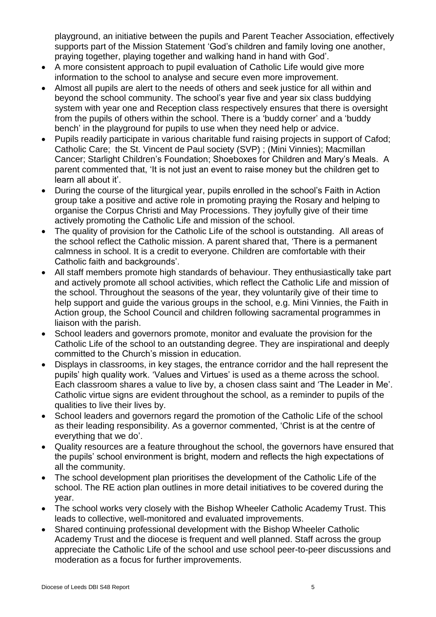playground, an initiative between the pupils and Parent Teacher Association, effectively supports part of the Mission Statement 'God's children and family loving one another, praying together, playing together and walking hand in hand with God'.

- A more consistent approach to pupil evaluation of Catholic Life would give more information to the school to analyse and secure even more improvement.
- Almost all pupils are alert to the needs of others and seek justice for all within and beyond the school community. The school's year five and year six class buddying system with year one and Reception class respectively ensures that there is oversight from the pupils of others within the school. There is a 'buddy corner' and a 'buddy bench' in the playground for pupils to use when they need help or advice.
- Pupils readily participate in various charitable fund raising projects in support of Cafod; Catholic Care; the St. Vincent de Paul society (SVP) ; (Mini Vinnies); Macmillan Cancer; Starlight Children's Foundation; Shoeboxes for Children and Mary's Meals. A parent commented that, 'It is not just an event to raise money but the children get to learn all about it'.
- During the course of the liturgical year, pupils enrolled in the school's Faith in Action group take a positive and active role in promoting praying the Rosary and helping to organise the Corpus Christi and May Processions. They joyfully give of their time actively promoting the Catholic Life and mission of the school.
- The quality of provision for the Catholic Life of the school is outstanding. All areas of the school reflect the Catholic mission. A parent shared that, 'There is a permanent calmness in school. It is a credit to everyone. Children are comfortable with their Catholic faith and backgrounds'.
- All staff members promote high standards of behaviour. They enthusiastically take part and actively promote all school activities, which reflect the Catholic Life and mission of the school. Throughout the seasons of the year, they voluntarily give of their time to help support and guide the various groups in the school, e.g. Mini Vinnies, the Faith in Action group, the School Council and children following sacramental programmes in liaison with the parish.
- School leaders and governors promote, monitor and evaluate the provision for the Catholic Life of the school to an outstanding degree. They are inspirational and deeply committed to the Church's mission in education.
- Displays in classrooms, in key stages, the entrance corridor and the hall represent the pupils' high quality work. 'Values and Virtues' is used as a theme across the school. Each classroom shares a value to live by, a chosen class saint and 'The Leader in Me'. Catholic virtue signs are evident throughout the school, as a reminder to pupils of the qualities to live their lives by.
- School leaders and governors regard the promotion of the Catholic Life of the school as their leading responsibility. As a governor commented, 'Christ is at the centre of everything that we do'.
- Quality resources are a feature throughout the school, the governors have ensured that the pupils' school environment is bright, modern and reflects the high expectations of all the community.
- The school development plan prioritises the development of the Catholic Life of the school. The RE action plan outlines in more detail initiatives to be covered during the year.
- The school works very closely with the Bishop Wheeler Catholic Academy Trust. This leads to collective, well-monitored and evaluated improvements.
- Shared continuing professional development with the Bishop Wheeler Catholic Academy Trust and the diocese is frequent and well planned. Staff across the group appreciate the Catholic Life of the school and use school peer-to-peer discussions and moderation as a focus for further improvements.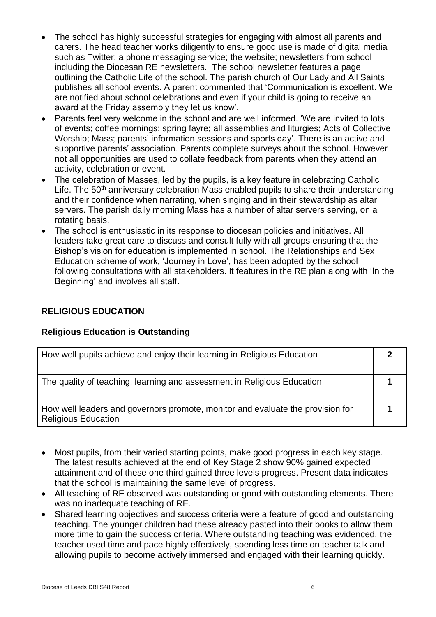- The school has highly successful strategies for engaging with almost all parents and carers. The head teacher works diligently to ensure good use is made of digital media such as Twitter; a phone messaging service; the website; newsletters from school including the Diocesan RE newsletters. The school newsletter features a page outlining the Catholic Life of the school. The parish church of Our Lady and All Saints publishes all school events. A parent commented that 'Communication is excellent. We are notified about school celebrations and even if your child is going to receive an award at the Friday assembly they let us know'.
- Parents feel very welcome in the school and are well informed. 'We are invited to lots of events; coffee mornings; spring fayre; all assemblies and liturgies; Acts of Collective Worship; Mass; parents' information sessions and sports day'. There is an active and supportive parents' association. Parents complete surveys about the school. However not all opportunities are used to collate feedback from parents when they attend an activity, celebration or event.
- The celebration of Masses, led by the pupils, is a key feature in celebrating Catholic Life. The  $50<sup>th</sup>$  anniversary celebration Mass enabled pupils to share their understanding and their confidence when narrating, when singing and in their stewardship as altar servers. The parish daily morning Mass has a number of altar servers serving, on a rotating basis.
- The school is enthusiastic in its response to diocesan policies and initiatives. All leaders take great care to discuss and consult fully with all groups ensuring that the Bishop's vision for education is implemented in school. The Relationships and Sex Education scheme of work, 'Journey in Love', has been adopted by the school following consultations with all stakeholders. It features in the RE plan along with 'In the Beginning' and involves all staff.

## **RELIGIOUS EDUCATION**

#### **Religious Education is Outstanding**

| How well pupils achieve and enjoy their learning in Religious Education                                      |  |
|--------------------------------------------------------------------------------------------------------------|--|
| The quality of teaching, learning and assessment in Religious Education                                      |  |
| How well leaders and governors promote, monitor and evaluate the provision for<br><b>Religious Education</b> |  |

- Most pupils, from their varied starting points, make good progress in each key stage. The latest results achieved at the end of Key Stage 2 show 90% gained expected attainment and of these one third gained three levels progress. Present data indicates that the school is maintaining the same level of progress.
- All teaching of RE observed was outstanding or good with outstanding elements. There was no inadequate teaching of RE.
- Shared learning objectives and success criteria were a feature of good and outstanding teaching. The younger children had these already pasted into their books to allow them more time to gain the success criteria. Where outstanding teaching was evidenced, the teacher used time and pace highly effectively, spending less time on teacher talk and allowing pupils to become actively immersed and engaged with their learning quickly.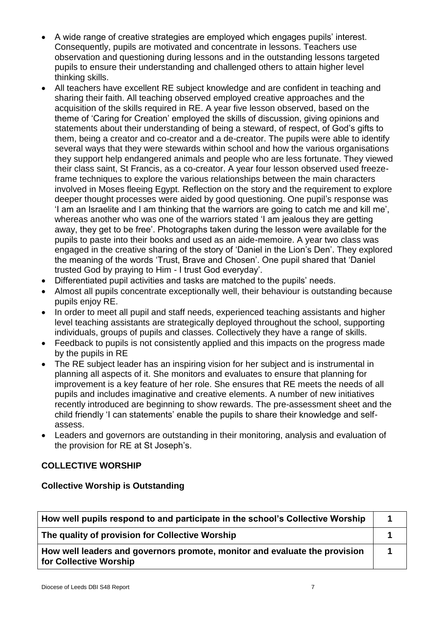- A wide range of creative strategies are employed which engages pupils' interest. Consequently, pupils are motivated and concentrate in lessons. Teachers use observation and questioning during lessons and in the outstanding lessons targeted pupils to ensure their understanding and challenged others to attain higher level thinking skills.
- All teachers have excellent RE subject knowledge and are confident in teaching and sharing their faith. All teaching observed employed creative approaches and the acquisition of the skills required in RE. A year five lesson observed, based on the theme of 'Caring for Creation' employed the skills of discussion, giving opinions and statements about their understanding of being a steward, of respect, of God's gifts to them, being a creator and co-creator and a de-creator. The pupils were able to identify several ways that they were stewards within school and how the various organisations they support help endangered animals and people who are less fortunate. They viewed their class saint, St Francis, as a co-creator. A year four lesson observed used freezeframe techniques to explore the various relationships between the main characters involved in Moses fleeing Egypt. Reflection on the story and the requirement to explore deeper thought processes were aided by good questioning. One pupil's response was 'I am an Israelite and I am thinking that the warriors are going to catch me and kill me', whereas another who was one of the warriors stated 'I am jealous they are getting away, they get to be free'. Photographs taken during the lesson were available for the pupils to paste into their books and used as an aide-memoire. A year two class was engaged in the creative sharing of the story of 'Daniel in the Lion's Den'. They explored the meaning of the words 'Trust, Brave and Chosen'. One pupil shared that 'Daniel trusted God by praying to Him - I trust God everyday'.
- Differentiated pupil activities and tasks are matched to the pupils' needs.
- Almost all pupils concentrate exceptionally well, their behaviour is outstanding because pupils enjoy RE.
- In order to meet all pupil and staff needs, experienced teaching assistants and higher level teaching assistants are strategically deployed throughout the school, supporting individuals, groups of pupils and classes. Collectively they have a range of skills.
- Feedback to pupils is not consistently applied and this impacts on the progress made by the pupils in RE
- The RE subject leader has an inspiring vision for her subject and is instrumental in planning all aspects of it. She monitors and evaluates to ensure that planning for improvement is a key feature of her role. She ensures that RE meets the needs of all pupils and includes imaginative and creative elements. A number of new initiatives recently introduced are beginning to show rewards. The pre-assessment sheet and the child friendly 'I can statements' enable the pupils to share their knowledge and selfassess.
- Leaders and governors are outstanding in their monitoring, analysis and evaluation of the provision for RE at St Joseph's.

## **COLLECTIVE WORSHIP**

#### **Collective Worship is Outstanding**

| How well pupils respond to and participate in the school's Collective Worship                        |  |  |
|------------------------------------------------------------------------------------------------------|--|--|
| The quality of provision for Collective Worship                                                      |  |  |
| How well leaders and governors promote, monitor and evaluate the provision<br>for Collective Worship |  |  |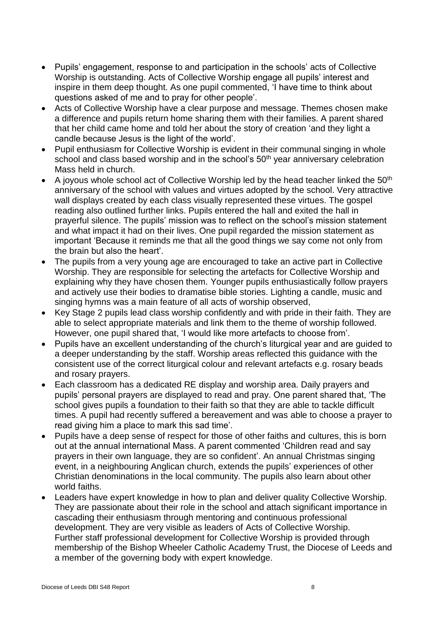- Pupils' engagement, response to and participation in the schools' acts of Collective Worship is outstanding. Acts of Collective Worship engage all pupils' interest and inspire in them deep thought. As one pupil commented, 'I have time to think about questions asked of me and to pray for other people'.
- Acts of Collective Worship have a clear purpose and message. Themes chosen make a difference and pupils return home sharing them with their families. A parent shared that her child came home and told her about the story of creation 'and they light a candle because Jesus is the light of the world'.
- Pupil enthusiasm for Collective Worship is evident in their communal singing in whole school and class based worship and in the school's 50<sup>th</sup> year anniversary celebration Mass held in church.
- $\bullet$  A joyous whole school act of Collective Worship led by the head teacher linked the 50<sup>th</sup> anniversary of the school with values and virtues adopted by the school. Very attractive wall displays created by each class visually represented these virtues. The gospel reading also outlined further links. Pupils entered the hall and exited the hall in prayerful silence. The pupils' mission was to reflect on the school's mission statement and what impact it had on their lives. One pupil regarded the mission statement as important 'Because it reminds me that all the good things we say come not only from the brain but also the heart'.
- The pupils from a very young age are encouraged to take an active part in Collective Worship. They are responsible for selecting the artefacts for Collective Worship and explaining why they have chosen them. Younger pupils enthusiastically follow prayers and actively use their bodies to dramatise bible stories. Lighting a candle, music and singing hymns was a main feature of all acts of worship observed,
- Key Stage 2 pupils lead class worship confidently and with pride in their faith. They are able to select appropriate materials and link them to the theme of worship followed. However, one pupil shared that, 'I would like more artefacts to choose from'.
- Pupils have an excellent understanding of the church's liturgical year and are guided to a deeper understanding by the staff. Worship areas reflected this guidance with the consistent use of the correct liturgical colour and relevant artefacts e.g. rosary beads and rosary prayers.
- Each classroom has a dedicated RE display and worship area. Daily prayers and pupils' personal prayers are displayed to read and pray. One parent shared that, 'The school gives pupils a foundation to their faith so that they are able to tackle difficult times. A pupil had recently suffered a bereavement and was able to choose a prayer to read giving him a place to mark this sad time'.
- Pupils have a deep sense of respect for those of other faiths and cultures, this is born out at the annual international Mass. A parent commented 'Children read and say prayers in their own language, they are so confident'. An annual Christmas singing event, in a neighbouring Anglican church, extends the pupils' experiences of other Christian denominations in the local community. The pupils also learn about other world faiths.
- Leaders have expert knowledge in how to plan and deliver quality Collective Worship. They are passionate about their role in the school and attach significant importance in cascading their enthusiasm through mentoring and continuous professional development. They are very visible as leaders of Acts of Collective Worship. Further staff professional development for Collective Worship is provided through membership of the Bishop Wheeler Catholic Academy Trust, the Diocese of Leeds and a member of the governing body with expert knowledge.